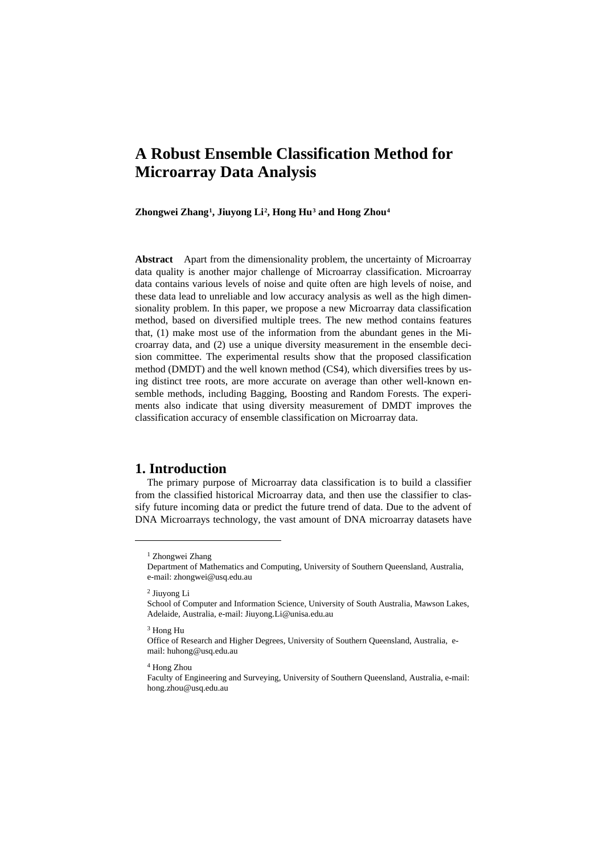# **A Robust Ensemble Classification Method for Microarray Data Analysis**

**Zhongwei Zhang[1](#page-0-0), Jiuyong Li[2,](#page-0-1) Hong Hu[3](#page-0-2) and Hong Zhou[4](#page-0-3)**

**Abstract** Apart from the dimensionality problem, the uncertainty of Microarray data quality is another major challenge of Microarray classification. Microarray data contains various levels of noise and quite often are high levels of noise, and these data lead to unreliable and low accuracy analysis as well as the high dimensionality problem. In this paper, we propose a new Microarray data classification method, based on diversified multiple trees. The new method contains features that, (1) make most use of the information from the abundant genes in the Microarray data, and (2) use a unique diversity measurement in the ensemble decision committee. The experimental results show that the proposed classification method (DMDT) and the well known method (CS4), which diversifies trees by using distinct tree roots, are more accurate on average than other well-known ensemble methods, including Bagging, Boosting and Random Forests. The experiments also indicate that using diversity measurement of DMDT improves the classification accuracy of ensemble classification on Microarray data.

#### **1. Introduction**

The primary purpose of Microarray data classification is to build a classifier from the classified historical Microarray data, and then use the classifier to classify future incoming data or predict the future trend of data. Due to the advent of DNA Microarrays technology, the vast amount of DNA microarray datasets have

2 Jiuyong Li

<span id="page-0-0"></span> $\overline{a}$ 

#### <span id="page-0-2"></span>3 Hong Hu

<span id="page-0-3"></span>4 Hong Zhou

<sup>&</sup>lt;sup>1</sup> Zhongwei Zhang

Department of Mathematics and Computing, University of Southern Queensland, Australia, e-mail: zhongwei@usq.edu.au

<span id="page-0-1"></span>School of Computer and Information Science, University of South Australia, Mawson Lakes, Adelaide, Australia, e-mail: Jiuyong.Li@unisa.edu.au

Office of Research and Higher Degrees, University of Southern Queensland, Australia, email: huhong@usq.edu.au

Faculty of Engineering and Surveying, University of Southern Queensland, Australia, e-mail: hong.zhou@usq.edu.au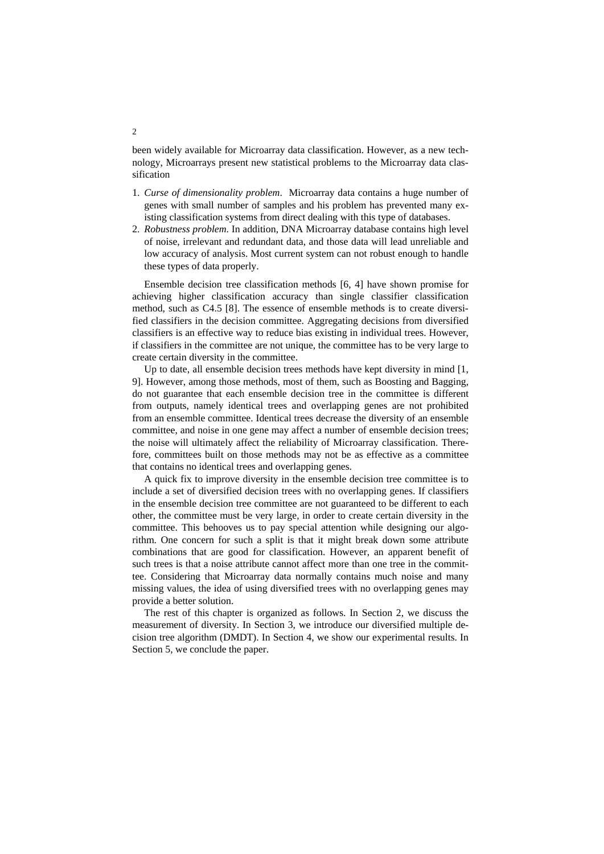been widely available for Microarray data classification. However, as a new technology, Microarrays present new statistical problems to the Microarray data classification

- 1. *Curse of dimensionality problem*. Microarray data contains a huge number of genes with small number of samples and his problem has prevented many existing classification systems from direct dealing with this type of databases.
- 2. *Robustness problem*. In addition, DNA Microarray database contains high level of noise, irrelevant and redundant data, and those data will lead unreliable and low accuracy of analysis. Most current system can not robust enough to handle these types of data properly.

Ensemble decision tree classification methods [6, 4] have shown promise for achieving higher classification accuracy than single classifier classification method, such as C4.5 [8]. The essence of ensemble methods is to create diversified classifiers in the decision committee. Aggregating decisions from diversified classifiers is an effective way to reduce bias existing in individual trees. However, if classifiers in the committee are not unique, the committee has to be very large to create certain diversity in the committee.

Up to date, all ensemble decision trees methods have kept diversity in mind [1, 9]. However, among those methods, most of them, such as Boosting and Bagging, do not guarantee that each ensemble decision tree in the committee is different from outputs, namely identical trees and overlapping genes are not prohibited from an ensemble committee. Identical trees decrease the diversity of an ensemble committee, and noise in one gene may affect a number of ensemble decision trees; the noise will ultimately affect the reliability of Microarray classification. Therefore, committees built on those methods may not be as effective as a committee that contains no identical trees and overlapping genes.

A quick fix to improve diversity in the ensemble decision tree committee is to include a set of diversified decision trees with no overlapping genes. If classifiers in the ensemble decision tree committee are not guaranteed to be different to each other, the committee must be very large, in order to create certain diversity in the committee. This behooves us to pay special attention while designing our algorithm. One concern for such a split is that it might break down some attribute combinations that are good for classification. However, an apparent benefit of such trees is that a noise attribute cannot affect more than one tree in the committee. Considering that Microarray data normally contains much noise and many missing values, the idea of using diversified trees with no overlapping genes may provide a better solution.

The rest of this chapter is organized as follows. In Section 2, we discuss the measurement of diversity. In Section 3, we introduce our diversified multiple decision tree algorithm (DMDT). In Section 4, we show our experimental results. In Section 5, we conclude the paper.

2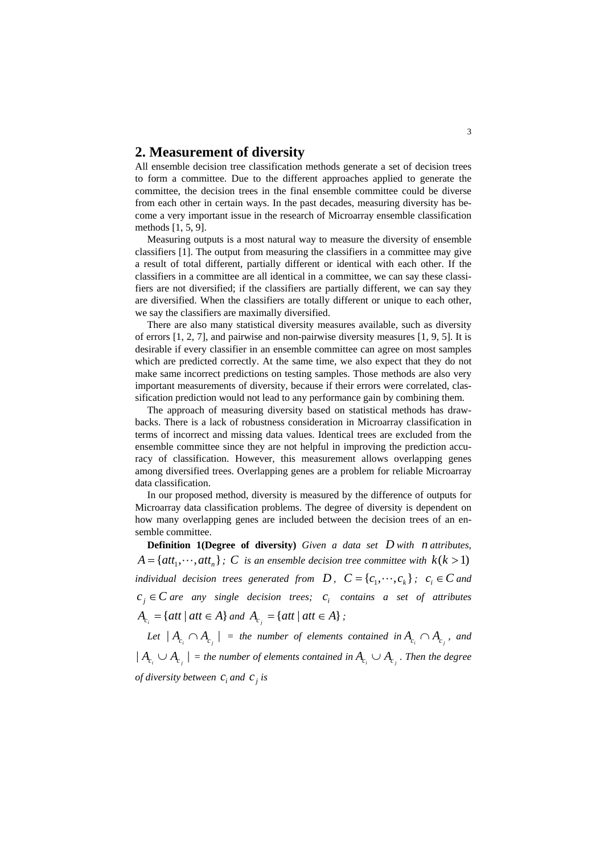#### **2. Measurement of diversity**

All ensemble decision tree classification methods generate a set of decision trees to form a committee. Due to the different approaches applied to generate the committee, the decision trees in the final ensemble committee could be diverse from each other in certain ways. In the past decades, measuring diversity has become a very important issue in the research of Microarray ensemble classification methods [1, 5, 9].

Measuring outputs is a most natural way to measure the diversity of ensemble classifiers [1]. The output from measuring the classifiers in a committee may give a result of total different, partially different or identical with each other. If the classifiers in a committee are all identical in a committee, we can say these classifiers are not diversified; if the classifiers are partially different, we can say they are diversified. When the classifiers are totally different or unique to each other, we say the classifiers are maximally diversified.

There are also many statistical diversity measures available, such as diversity of errors [1, 2, 7], and pairwise and non-pairwise diversity measures [1, 9, 5]. It is desirable if every classifier in an ensemble committee can agree on most samples which are predicted correctly. At the same time, we also expect that they do not make same incorrect predictions on testing samples. Those methods are also very important measurements of diversity, because if their errors were correlated, classification prediction would not lead to any performance gain by combining them.

The approach of measuring diversity based on statistical methods has drawbacks. There is a lack of robustness consideration in Microarray classification in terms of incorrect and missing data values. Identical trees are excluded from the ensemble committee since they are not helpful in improving the prediction accuracy of classification. However, this measurement allows overlapping genes among diversified trees. Overlapping genes are a problem for reliable Microarray data classification.

In our proposed method, diversity is measured by the difference of outputs for Microarray data classification problems. The degree of diversity is dependent on how many overlapping genes are included between the decision trees of an ensemble committee.

**Definition 1(Degree of diversity)** *Given a data set D with n attributes,*   ${A} = \{att_1, \dots, att_n\}$ ; C is an ensemble decision tree committee with  $k(k > 1)$ *individual decision trees generated from*  $D$ *,*  $C = \{c_1, \dots, c_k\}$ *;*  $c_i \in C$  *and*  $c_j \in \mathbb{C}$  *are any single decision trees;*  $c_j$  *contains a set of attributes*  $A_{c_i} = \{att \mid att \in A\}$  *and*  $A_{c_i} = \{att \mid att \in A\}$ ;

*Let*  $| A_c \cap A_c |$  = the number of elements contained in  $A_c \cap A_c$ , and  $| A_c \cup A_c |$  = the number of elements contained in  $A_c \cup A_c$ . Then the degree *of diversity between*  $c_i$  *and*  $c_j$  *is*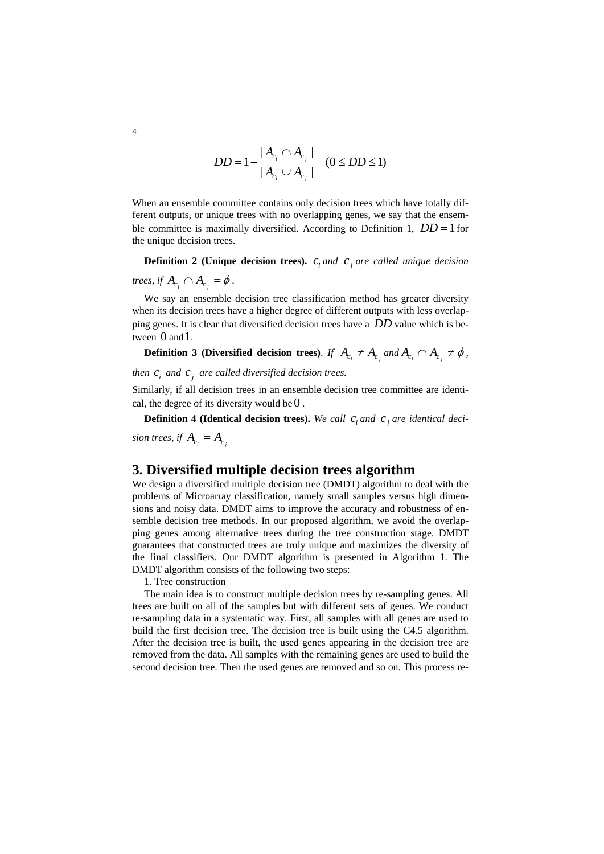$$
DD = 1 - \frac{|A_{c_i} \cap A_{c_j}|}{|A_{c_i} \cup A_{c_j}|} \quad (0 \leq DD \leq 1)
$$

When an ensemble committee contains only decision trees which have totally different outputs, or unique trees with no overlapping genes, we say that the ensemble committee is maximally diversified. According to Definition 1,  $DD = 1$  for the unique decision trees.

**Definition 2 (Unique decision trees).**  $c_i$  *and c<sub>j</sub> are called unique decision* 

*trees, if*  $A_{c_i} \cap A_{c_j} = \phi$ .

We say an ensemble decision tree classification method has greater diversity when its decision trees have a higher degree of different outputs with less overlapping genes. It is clear that diversified decision trees have a *DD* value which is between 0 and 1.

**Definition 3 (Diversified decision trees).** *If*  $A_{c_i} \neq A_{c_j}$  *and*  $A_{c_i} \cap A_{c_j} \neq \emptyset$ ,

*then*  $c_i$  *and*  $c_j$  *are called diversified decision trees.* 

Similarly, if all decision trees in an ensemble decision tree committee are identical, the degree of its diversity would be  $0$ .

**Definition 4 (Identical decision trees).** We call  $c_i$  and  $c_j$  are identical deci*sion trees, if*  $A_c = A_c$ 

# **3. Diversified multiple decision trees algorithm**

We design a diversified multiple decision tree (DMDT) algorithm to deal with the problems of Microarray classification, namely small samples versus high dimensions and noisy data. DMDT aims to improve the accuracy and robustness of ensemble decision tree methods. In our proposed algorithm, we avoid the overlapping genes among alternative trees during the tree construction stage. DMDT guarantees that constructed trees are truly unique and maximizes the diversity of the final classifiers. Our DMDT algorithm is presented in [Algorithm 1.](#page-4-0) The DMDT algorithm consists of the following two steps:

1. Tree construction

The main idea is to construct multiple decision trees by re-sampling genes. All trees are built on all of the samples but with different sets of genes. We conduct re-sampling data in a systematic way. First, all samples with all genes are used to build the first decision tree. The decision tree is built using the C4.5 algorithm. After the decision tree is built, the used genes appearing in the decision tree are removed from the data. All samples with the remaining genes are used to build the second decision tree. Then the used genes are removed and so on. This process re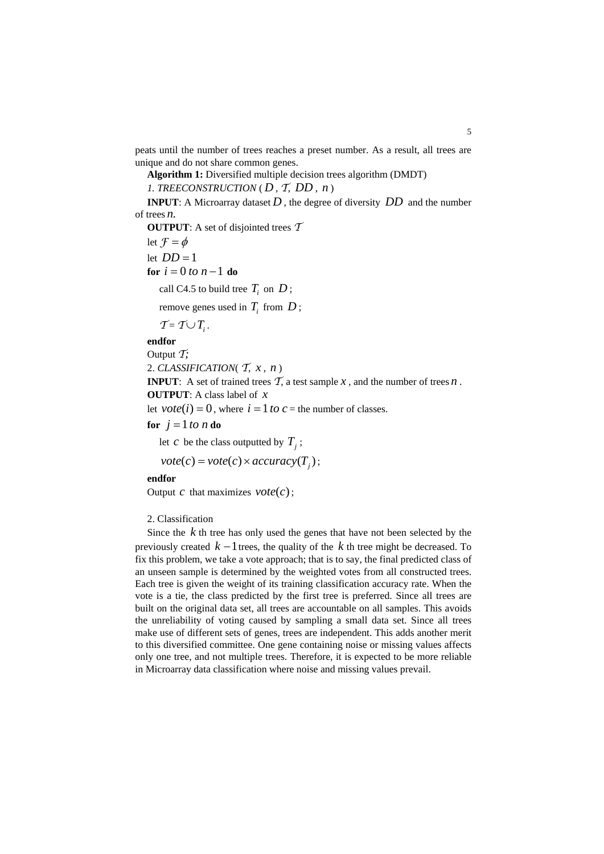<span id="page-4-0"></span>peats until the number of trees reaches a preset number. As a result, all trees are unique and do not share common genes.

**Algorithm 1:** Diversified multiple decision trees algorithm (DMDT)

*1. TREECONSTRUCTION* ( $D, T, DD, n$ )

**INPUT**: A Microarray dataset *D* , the degree of diversity *DD* and the number of trees *n*.

**OUTPUT**: A set of disjointed trees *T* let  $\mathcal{F} = \phi$ let  $DD = 1$ **for**  $i = 0$  *to*  $n - 1$  **do** call C4.5 to build tree  $T_i$  on  $D$ ; remove genes used in  $T_i$  from  $D$ ;  $\mathcal{T} = \mathcal{T} \cup T_i$ .

**endfor** 

Output *T;*

2. *CLASSIFICATION*( $\mathcal{T}$ ,  $x$ ,  $n$ )

**INPUT**: A set of trained trees  $\mathcal{T}$ , a test sample  $x$ , and the number of trees  $n$ . **OUTPUT**: A class label of *x*

let  $\text{vote}(i) = 0$ , where  $i = 1$  to  $c =$  the number of classes.

**for**  $j = 1$  *to*  $n$  **do** 

let *c* be the class outputted by  $T_i$ ;

 $\text{vote}(c) = \text{vote}(c) \times \text{accuracy}(T_i);$ 

**endfor** 

Output *c* that maximizes  $\text{vote}(c)$ ;

2. Classification

Since the *k* th tree has only used the genes that have not been selected by the previously created  $k-1$  trees, the quality of the  $k$  th tree might be decreased. To fix this problem, we take a vote approach; that is to say, the final predicted class of an unseen sample is determined by the weighted votes from all constructed trees. Each tree is given the weight of its training classification accuracy rate. When the vote is a tie, the class predicted by the first tree is preferred. Since all trees are built on the original data set, all trees are accountable on all samples. This avoids the unreliability of voting caused by sampling a small data set. Since all trees make use of different sets of genes, trees are independent. This adds another merit to this diversified committee. One gene containing noise or missing values affects only one tree, and not multiple trees. Therefore, it is expected to be more reliable in Microarray data classification where noise and missing values prevail.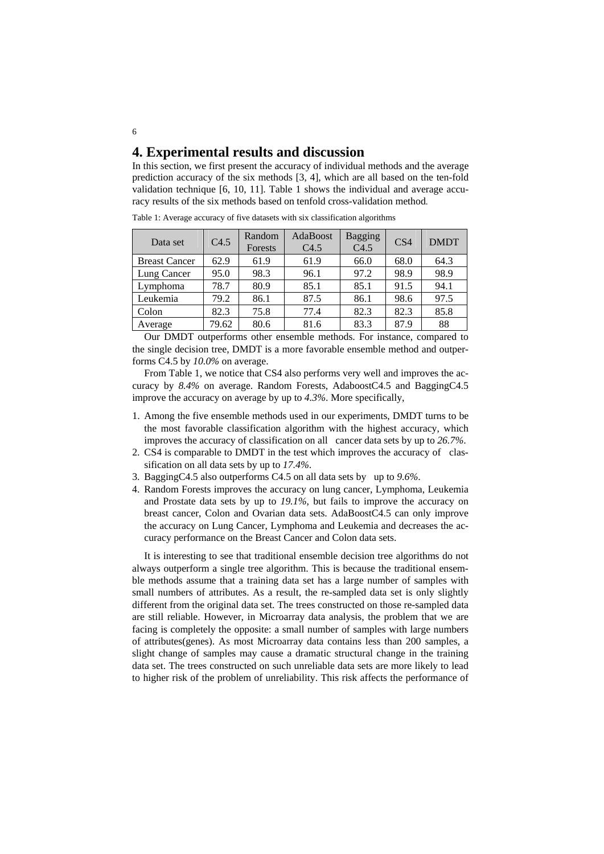# **4. Experimental results and discussion**

In this section, we first present the accuracy of individual methods and the average prediction accuracy of the six methods [3, 4], which are all based on the ten-fold validation technique [6, 10, 11]. [Table 1](#page-5-0) shows the individual and average accuracy results of the six methods based on tenfold cross-validation method.

| Data set             | C4.5  | Random<br>Forests | AdaBoost<br>C4.5 | Bagging<br>C4.5 | CS <sub>4</sub> | <b>DMDT</b> |
|----------------------|-------|-------------------|------------------|-----------------|-----------------|-------------|
| <b>Breast Cancer</b> | 62.9  | 61.9              | 61.9             | 66.0            | 68.0            | 64.3        |
| Lung Cancer          | 95.0  | 98.3              | 96.1             | 97.2            | 98.9            | 98.9        |
| Lymphoma             | 78.7  | 80.9              | 85.1             | 85.1            | 91.5            | 94.1        |
| Leukemia             | 79.2  | 86.1              | 87.5             | 86.1            | 98.6            | 97.5        |
| Colon                | 82.3  | 75.8              | 77.4             | 82.3            | 82.3            | 85.8        |
| Average              | 79.62 | 80.6              | 81.6             | 83.3            | 87.9            | 88          |

Table 1: Average accuracy of five datasets with six classification algorithms

Our DMDT outperforms other ensemble methods. For instance, compared to the single decision tree, DMDT is a more favorable ensemble method and outperforms C4.5 by *10.0%* on average.

From [Table 1,](#page-5-0) we notice that CS4 also performs very well and improves the accuracy by *8.4%* on average. Random Forests, AdaboostC4.5 and BaggingC4.5 improve the accuracy on average by up to *4.3%*. More specifically,

- 1. Among the five ensemble methods used in our experiments, DMDT turns to be the most favorable classification algorithm with the highest accuracy, which improves the accuracy of classification on all cancer data sets by up to *26.7%*.
- 2. CS4 is comparable to DMDT in the test which improves the accuracy of classification on all data sets by up to *17.4%*.
- 3. BaggingC4.5 also outperforms C4.5 on all data sets by up to *9.6%*.
- 4. Random Forests improves the accuracy on lung cancer, Lymphoma, Leukemia and Prostate data sets by up to *19.1%*, but fails to improve the accuracy on breast cancer, Colon and Ovarian data sets. AdaBoostC4.5 can only improve the accuracy on Lung Cancer, Lymphoma and Leukemia and decreases the accuracy performance on the Breast Cancer and Colon data sets.

It is interesting to see that traditional ensemble decision tree algorithms do not always outperform a single tree algorithm. This is because the traditional ensemble methods assume that a training data set has a large number of samples with small numbers of attributes. As a result, the re-sampled data set is only slightly different from the original data set. The trees constructed on those re-sampled data are still reliable. However, in Microarray data analysis, the problem that we are facing is completely the opposite: a small number of samples with large numbers of attributes(genes). As most Microarray data contains less than 200 samples, a slight change of samples may cause a dramatic structural change in the training data set. The trees constructed on such unreliable data sets are more likely to lead to higher risk of the problem of unreliability. This risk affects the performance of

<span id="page-5-0"></span>6